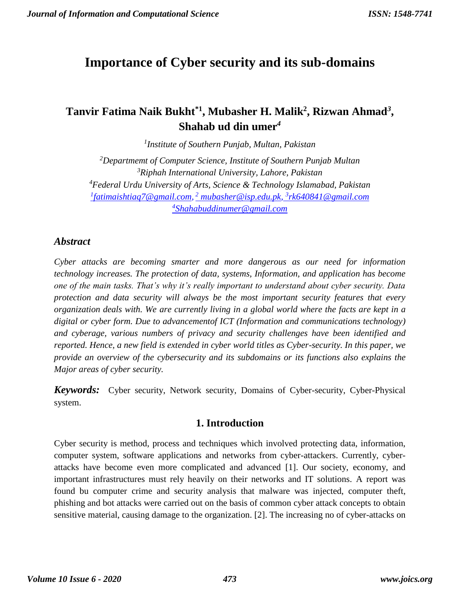# **Importance of Cyber security and its sub-domains**

# **Tanvir Fatima Naik Bukht\*1 , Mubasher H. Malik<sup>2</sup> , Rizwan Ahmad***<sup>3</sup>* **, Shahab ud din umer***<sup>4</sup>*

*1 Institute of Southern Punjab, Multan, Pakistan*

*Departmemt of Computer Science, Institute of Southern Punjab Multan Riphah International University, Lahore, Pakistan Federal Urdu University of Arts, Science & Technology Islamabad, Pakistan [fatimaishtiaq7@gmail.com,](mailto:1fatimaishtiaq7@gmail.com) <sup>2</sup> [mubasher@isp.edu.pk,](mailto:mubasher@isp.edu.pk) 3 [rk640841@gmail.com](mailto:2rk640841@gmail.com)  Shahabuddinumer@gmail.com*

# *Abstract*

*Cyber attacks are becoming smarter and more dangerous as our need for information technology increases. The protection of data, systems, Information, and application has become one of the main tasks. That's why it's really important to understand about cyber security. Data protection and data security will always be the most important security features that every organization deals with. We are currently living in a global world where the facts are kept in a digital or cyber form. Due to advancementof ICT (Information and communications technology) and cyberage, various numbers of privacy and security challenges have been identified and reported. Hence, a new field is extended in cyber world titles as Cyber-security. In this paper, we provide an overview of the cybersecurity and its subdomains or its functions also explains the Major areas of cyber security.*

*Keywords:* Cyber security, Network security, Domains of Cyber-security, Cyber-Physical system.

# **1. Introduction**

Cyber security is method, process and techniques which involved protecting data, information, computer system, software applications and networks from cyber-attackers. Currently, cyberattacks have become even more complicated and advanced [1]. Our society, economy, and important infrastructures must rely heavily on their networks and IT solutions. A report was found bu computer crime and security analysis that malware was injected, computer theft, phishing and bot attacks were carried out on the basis of common cyber attack concepts to obtain sensitive material, causing damage to the organization. [2]. The increasing no of cyber-attacks on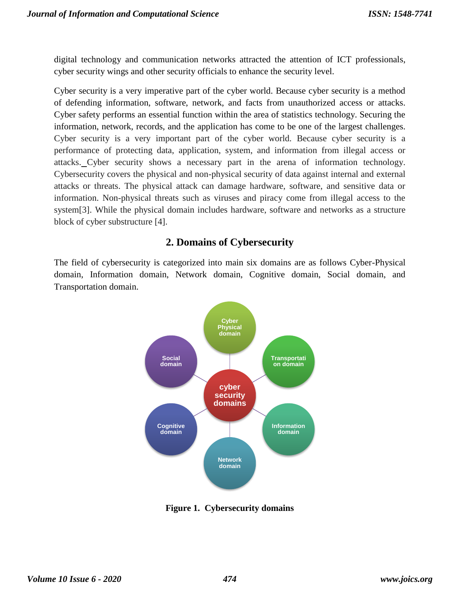digital technology and communication networks attracted the attention of ICT professionals, cyber security wings and other security officials to enhance the security level.

Cyber security is a very imperative part of the cyber world. Because cyber security is a method of defending information, software, network, and facts from unauthorized access or attacks. Cyber safety performs an essential function within the area of statistics technology. Securing the information, network, records, and the application has come to be one of the largest challenges. Cyber security is a very important part of the cyber world. Because cyber security is a performance of protecting data, application, system, and information from illegal access or attacks. Cyber security shows a necessary part in the arena of information technology. Cybersecurity covers the physical and non-physical security of data against internal and external attacks or threats. The physical attack can damage hardware, software, and sensitive data or information. Non-physical threats such as viruses and piracy come from illegal access to the system[3]. While the physical domain includes hardware, software and networks as a structure block of cyber substructure [4].

# **2. Domains of Cybersecurity**

The field of cybersecurity is categorized into main six domains are as follows Cyber-Physical domain, Information domain, Network domain, Cognitive domain, Social domain, and Transportation domain.



**Figure 1. Cybersecurity domains**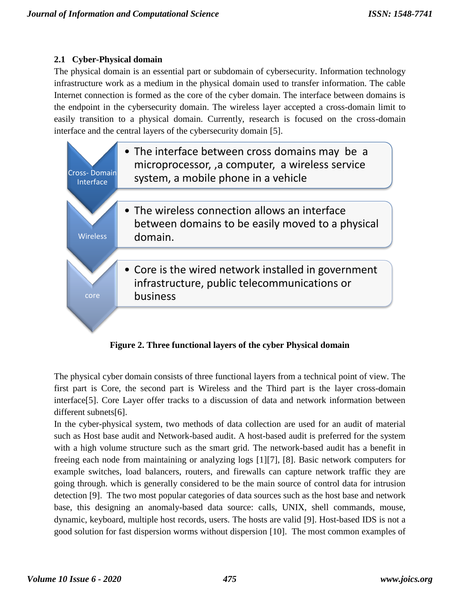## **2.1 Cyber-Physical domain**

The physical domain is an essential part or subdomain of cybersecurity. Information technology infrastructure work as a medium in the physical domain used to transfer information. The cable Internet connection is formed as the core of the cyber domain. The interface between domains is the endpoint in the cybersecurity domain. The wireless layer accepted a cross-domain limit to easily transition to a physical domain. Currently, research is focused on the cross-domain interface and the central layers of the cybersecurity domain [5].



**Figure 2. Three functional layers of the cyber Physical domain**

The physical cyber domain consists of three functional layers from a technical point of view. The first part is Core, the second part is Wireless and the Third part is the layer cross-domain interface[5]. Core Layer offer tracks to a discussion of data and network information between different subnets[6].

In the cyber-physical system, two methods of data collection are used for an audit of material such as Host base audit and Network-based audit. A host-based audit is preferred for the system with a high volume structure such as the smart grid. The network-based audit has a benefit in freeing each node from maintaining or analyzing logs [1][7], [8]. Basic network computers for example switches, load balancers, routers, and firewalls can capture network traffic they are going through. which is generally considered to be the main source of control data for intrusion detection [9]. The two most popular categories of data sources such as the host base and network base, this designing an anomaly-based data source: calls, UNIX, shell commands, mouse, dynamic, keyboard, multiple host records, users. The hosts are valid [9]. Host-based IDS is not a good solution for fast dispersion worms without dispersion [10]. The most common examples of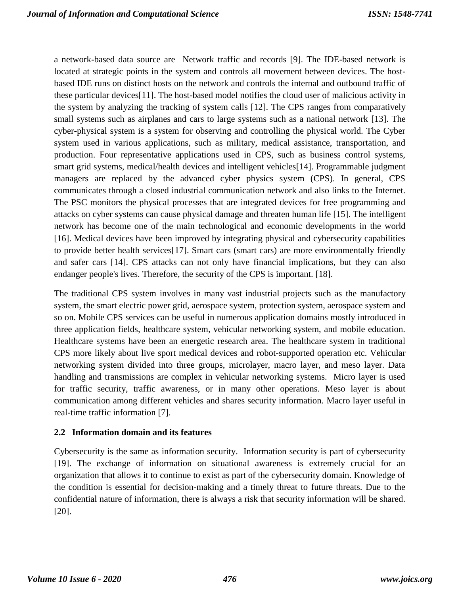a network-based data source are Network traffic and records [9]. The IDE-based network is located at strategic points in the system and controls all movement between devices. The hostbased IDE runs on distinct hosts on the network and controls the internal and outbound traffic of these particular devices[11]. The host-based model notifies the cloud user of malicious activity in the system by analyzing the tracking of system calls [12]. The CPS ranges from comparatively small systems such as airplanes and cars to large systems such as a national network [13]. The cyber-physical system is a system for observing and controlling the physical world. The Cyber system used in various applications, such as military, medical assistance, transportation, and production. Four representative applications used in CPS, such as business control systems, smart grid systems, medical/health devices and intelligent vehicles[14]. Programmable judgment managers are replaced by the advanced cyber physics system (CPS). In general, CPS communicates through a closed industrial communication network and also links to the Internet. The PSC monitors the physical processes that are integrated devices for free programming and attacks on cyber systems can cause physical damage and threaten human life [15]. The intelligent network has become one of the main technological and economic developments in the world [16]. Medical devices have been improved by integrating physical and cybersecurity capabilities to provide better health services[17]. Smart cars (smart cars) are more environmentally friendly and safer cars [14]. CPS attacks can not only have financial implications, but they can also endanger people's lives. Therefore, the security of the CPS is important. [18].

The traditional CPS system involves in many vast industrial projects such as the manufactory system, the smart electric power grid, aerospace system, protection system, aerospace system and so on. Mobile CPS services can be useful in numerous application domains mostly introduced in three application fields, healthcare system, vehicular networking system, and mobile education. Healthcare systems have been an energetic research area. The healthcare system in traditional CPS more likely about live sport medical devices and robot-supported operation etc. Vehicular networking system divided into three groups, microlayer, macro layer, and meso layer. Data handling and transmissions are complex in vehicular networking systems. Micro layer is used for traffic security, traffic awareness, or in many other operations. Meso layer is about communication among different vehicles and shares security information. Macro layer useful in real-time traffic information [7].

## **2.2 Information domain and its features**

Cybersecurity is the same as information security. Information security is part of cybersecurity [19]. The exchange of information on situational awareness is extremely crucial for an organization that allows it to continue to exist as part of the cybersecurity domain. Knowledge of the condition is essential for decision-making and a timely threat to future threats. Due to the confidential nature of information, there is always a risk that security information will be shared. [20].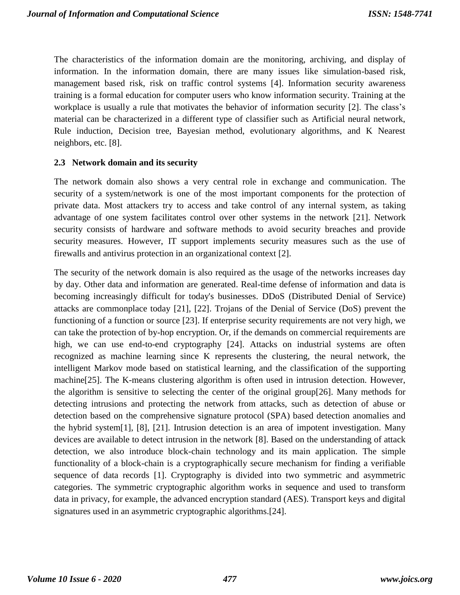The characteristics of the information domain are the monitoring, archiving, and display of information. In the information domain, there are many issues like simulation-based risk, management based risk, risk on traffic control systems [4]. Information security awareness training is a formal education for computer users who know information security. Training at the workplace is usually a rule that motivates the behavior of information security [2]. The class's material can be characterized in a different type of classifier such as Artificial neural network, Rule induction, Decision tree, Bayesian method, evolutionary algorithms, and K Nearest neighbors, etc. [8].

#### **2.3 Network domain and its security**

The network domain also shows a very central role in exchange and communication. The security of a system/network is one of the most important components for the protection of private data. Most attackers try to access and take control of any internal system, as taking advantage of one system facilitates control over other systems in the network [21]. Network security consists of hardware and software methods to avoid security breaches and provide security measures. However, IT support implements security measures such as the use of firewalls and antivirus protection in an organizational context [2].

The security of the network domain is also required as the usage of the networks increases day by day. Other data and information are generated. Real-time defense of information and data is becoming increasingly difficult for today's businesses. DDoS (Distributed Denial of Service) attacks are commonplace today [21], [22]. Trojans of the Denial of Service (DoS) prevent the functioning of a function or source [23]. If enterprise security requirements are not very high, we can take the protection of by-hop encryption. Or, if the demands on commercial requirements are high, we can use end-to-end cryptography [24]. Attacks on industrial systems are often recognized as machine learning since K represents the clustering, the neural network, the intelligent Markov mode based on statistical learning, and the classification of the supporting machine[25]. The K-means clustering algorithm is often used in intrusion detection. However, the algorithm is sensitive to selecting the center of the original group[26]. Many methods for detecting intrusions and protecting the network from attacks, such as detection of abuse or detection based on the comprehensive signature protocol (SPA) based detection anomalies and the hybrid system[1], [8], [21]. Intrusion detection is an area of impotent investigation. Many devices are available to detect intrusion in the network [8]. Based on the understanding of attack detection, we also introduce block-chain technology and its main application. The simple functionality of a block-chain is a cryptographically secure mechanism for finding a verifiable sequence of data records [1]. Cryptography is divided into two symmetric and asymmetric categories. The symmetric cryptographic algorithm works in sequence and used to transform data in privacy, for example, the advanced encryption standard (AES). Transport keys and digital signatures used in an asymmetric cryptographic algorithms.[24].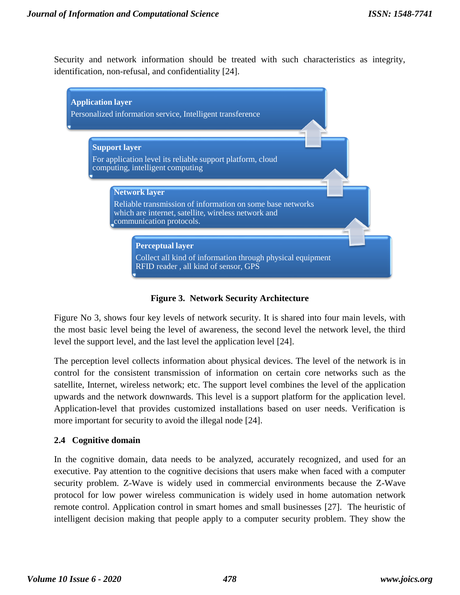Security and network information should be treated with such characteristics as integrity, identification, non-refusal, and confidentiality [24].



**Figure 3. Network Security Architecture**

Figure No 3, shows four key levels of network security. It is shared into four main levels, with the most basic level being the level of awareness, the second level the network level, the third level the support level, and the last level the application level [24].

The perception level collects information about physical devices. The level of the network is in control for the consistent transmission of information on certain core networks such as the satellite, Internet, wireless network; etc. The support level combines the level of the application upwards and the network downwards. This level is a support platform for the application level. Application-level that provides customized installations based on user needs. Verification is more important for security to avoid the illegal node [24].

## **2.4 Cognitive domain**

In the cognitive domain, data needs to be analyzed, accurately recognized, and used for an executive. Pay attention to the cognitive decisions that users make when faced with a computer security problem. Z-Wave is widely used in commercial environments because the Z-Wave protocol for low power wireless communication is widely used in home automation network remote control. Application control in smart homes and small businesses [27]. The heuristic of intelligent decision making that people apply to a computer security problem. They show the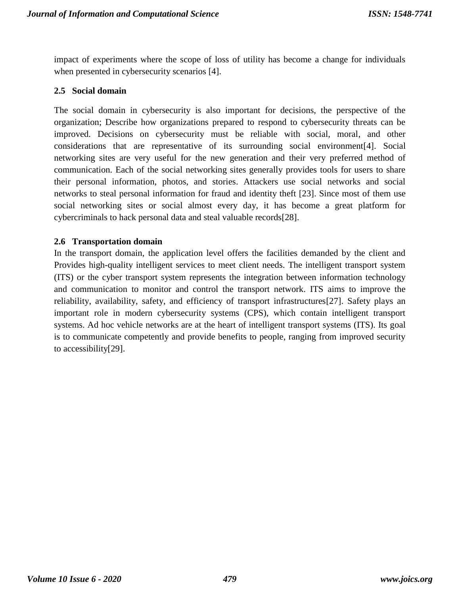impact of experiments where the scope of loss of utility has become a change for individuals when presented in cybersecurity scenarios [4].

#### **2.5 Social domain**

The social domain in cybersecurity is also important for decisions, the perspective of the organization; Describe how organizations prepared to respond to cybersecurity threats can be improved. Decisions on cybersecurity must be reliable with social, moral, and other considerations that are representative of its surrounding social environment[4]. Social networking sites are very useful for the new generation and their very preferred method of communication. Each of the social networking sites generally provides tools for users to share their personal information, photos, and stories. Attackers use social networks and social networks to steal personal information for fraud and identity theft [23]. Since most of them use social networking sites or social almost every day, it has become a great platform for cybercriminals to hack personal data and steal valuable records[28].

#### **2.6 Transportation domain**

In the transport domain, the application level offers the facilities demanded by the client and Provides high-quality intelligent services to meet client needs. The intelligent transport system (ITS) or the cyber transport system represents the integration between information technology and communication to monitor and control the transport network. ITS aims to improve the reliability, availability, safety, and efficiency of transport infrastructures[27]. Safety plays an important role in modern cybersecurity systems (CPS), which contain intelligent transport systems. Ad hoc vehicle networks are at the heart of intelligent transport systems (ITS). Its goal is to communicate competently and provide benefits to people, ranging from improved security to accessibility[29].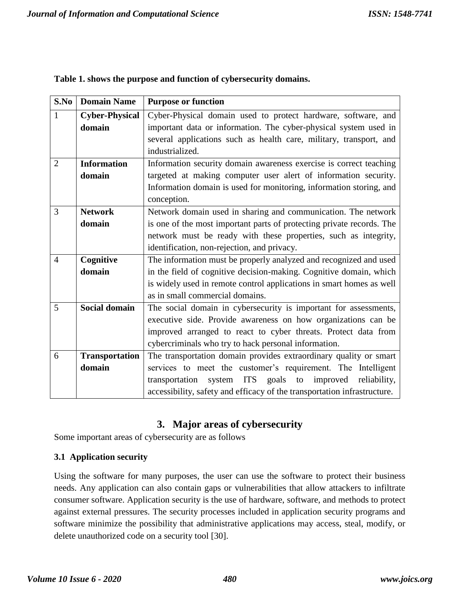| S.No           | <b>Domain Name</b>    | <b>Purpose or function</b>                                               |  |  |  |  |
|----------------|-----------------------|--------------------------------------------------------------------------|--|--|--|--|
| $\mathbf{1}$   | <b>Cyber-Physical</b> | Cyber-Physical domain used to protect hardware, software, and            |  |  |  |  |
|                | domain                | important data or information. The cyber-physical system used in         |  |  |  |  |
|                |                       | several applications such as health care, military, transport, and       |  |  |  |  |
|                |                       | industrialized.                                                          |  |  |  |  |
| $\overline{2}$ | <b>Information</b>    | Information security domain awareness exercise is correct teaching       |  |  |  |  |
|                | domain                | targeted at making computer user alert of information security.          |  |  |  |  |
|                |                       | Information domain is used for monitoring, information storing, and      |  |  |  |  |
|                |                       | conception.                                                              |  |  |  |  |
| 3              | <b>Network</b>        | Network domain used in sharing and communication. The network            |  |  |  |  |
|                | domain                | is one of the most important parts of protecting private records. The    |  |  |  |  |
|                |                       | network must be ready with these properties, such as integrity,          |  |  |  |  |
|                |                       | identification, non-rejection, and privacy.                              |  |  |  |  |
| $\overline{4}$ | Cognitive             | The information must be properly analyzed and recognized and used        |  |  |  |  |
|                | domain                | in the field of cognitive decision-making. Cognitive domain, which       |  |  |  |  |
|                |                       | is widely used in remote control applications in smart homes as well     |  |  |  |  |
|                |                       | as in small commercial domains.                                          |  |  |  |  |
| 5              | <b>Social domain</b>  | The social domain in cybersecurity is important for assessments,         |  |  |  |  |
|                |                       | executive side. Provide awareness on how organizations can be            |  |  |  |  |
|                |                       | improved arranged to react to cyber threats. Protect data from           |  |  |  |  |
|                |                       | cybercriminals who try to hack personal information.                     |  |  |  |  |
| 6              | <b>Transportation</b> | The transportation domain provides extraordinary quality or smart        |  |  |  |  |
|                | domain                | services to meet the customer's requirement. The Intelligent             |  |  |  |  |
|                |                       | system ITS goals to improved reliability,<br>transportation              |  |  |  |  |
|                |                       | accessibility, safety and efficacy of the transportation infrastructure. |  |  |  |  |

|  |  | Table 1. shows the purpose and function of cybersecurity domains. |  |
|--|--|-------------------------------------------------------------------|--|

# **3. Major areas of cybersecurity**

Some important areas of cybersecurity are as follows

## **3.1 Application security**

Using the software for many purposes, the user can use the software to protect their business needs. Any application can also contain gaps or vulnerabilities that allow attackers to infiltrate consumer software. Application security is the use of hardware, software, and methods to protect against external pressures. The security processes included in application security programs and software minimize the possibility that administrative applications may access, steal, modify, or delete unauthorized code on a security tool [30].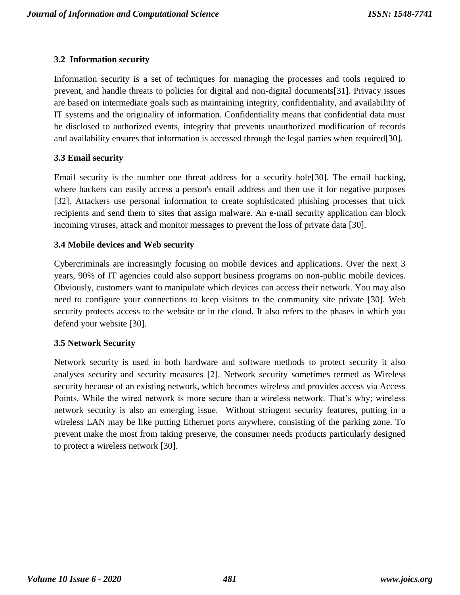## **3.2 Information security**

Information security is a set of techniques for managing the processes and tools required to prevent, and handle threats to policies for digital and non-digital documents[31]. Privacy issues are based on intermediate goals such as maintaining integrity, confidentiality, and availability of IT systems and the originality of information. Confidentiality means that confidential data must be disclosed to authorized events, integrity that prevents unauthorized modification of records and availability ensures that information is accessed through the legal parties when required[30].

## **3.3 Email security**

Email security is the number one threat address for a security hole[30]. The email hacking, where hackers can easily access a person's email address and then use it for negative purposes [32]. Attackers use personal information to create sophisticated phishing processes that trick recipients and send them to sites that assign malware. An e-mail security application can block incoming viruses, attack and monitor messages to prevent the loss of private data [30].

## **3.4 Mobile devices and Web security**

Cybercriminals are increasingly focusing on mobile devices and applications. Over the next 3 years, 90% of IT agencies could also support business programs on non-public mobile devices. Obviously, customers want to manipulate which devices can access their network. You may also need to configure your connections to keep visitors to the community site private [30]. Web security protects access to the website or in the cloud. It also refers to the phases in which you defend your website [30].

## **3.5 Network Security**

Network security is used in both hardware and software methods to protect security it also analyses security and security measures [2]. Network security sometimes termed as Wireless security because of an existing network, which becomes wireless and provides access via Access Points. While the wired network is more secure than a wireless network. That's why; wireless network security is also an emerging issue. Without stringent security features, putting in a wireless LAN may be like putting Ethernet ports anywhere, consisting of the parking zone. To prevent make the most from taking preserve, the consumer needs products particularly designed to protect a wireless network [30].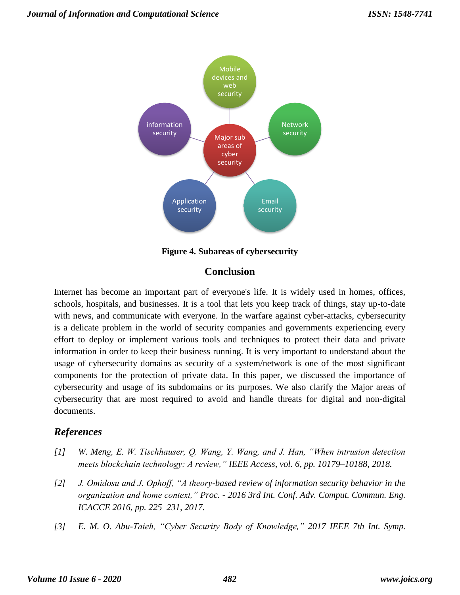

**Figure 4. Subareas of cybersecurity**

# **Conclusion**

Internet has become an important part of everyone's life. It is widely used in homes, offices, schools, hospitals, and businesses. It is a tool that lets you keep track of things, stay up-to-date with news, and communicate with everyone. In the warfare against cyber-attacks, cybersecurity is a delicate problem in the world of security companies and governments experiencing every effort to deploy or implement various tools and techniques to protect their data and private information in order to keep their business running. It is very important to understand about the usage of cybersecurity domains as security of a system/network is one of the most significant components for the protection of private data. In this paper, we discussed the importance of cybersecurity and usage of its subdomains or its purposes. We also clarify the Major areas of cybersecurity that are most required to avoid and handle threats for digital and non-digital documents.

# *References*

- *[1] W. Meng, E. W. Tischhauser, Q. Wang, Y. Wang, and J. Han, "When intrusion detection meets blockchain technology: A review," IEEE Access, vol. 6, pp. 10179–10188, 2018.*
- *[2] J. Omidosu and J. Ophoff, "A theory-based review of information security behavior in the organization and home context," Proc. - 2016 3rd Int. Conf. Adv. Comput. Commun. Eng. ICACCE 2016, pp. 225–231, 2017.*
- *[3] E. M. O. Abu-Taieh, "Cyber Security Body of Knowledge," 2017 IEEE 7th Int. Symp.*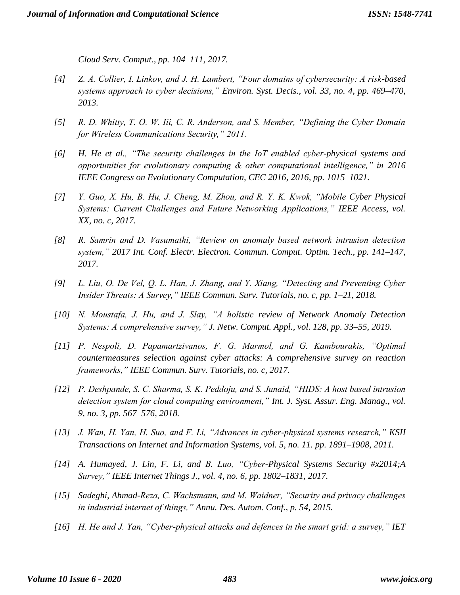*Cloud Serv. Comput., pp. 104–111, 2017.*

- *[4] Z. A. Collier, I. Linkov, and J. H. Lambert, "Four domains of cybersecurity: A risk-based systems approach to cyber decisions," Environ. Syst. Decis., vol. 33, no. 4, pp. 469–470, 2013.*
- *[5] R. D. Whitty, T. O. W. Iii, C. R. Anderson, and S. Member, "Defining the Cyber Domain for Wireless Communications Security," 2011.*
- *[6] H. He et al., "The security challenges in the IoT enabled cyber-physical systems and opportunities for evolutionary computing & other computational intelligence," in 2016 IEEE Congress on Evolutionary Computation, CEC 2016, 2016, pp. 1015–1021.*
- *[7] Y. Guo, X. Hu, B. Hu, J. Cheng, M. Zhou, and R. Y. K. Kwok, "Mobile Cyber Physical Systems: Current Challenges and Future Networking Applications," IEEE Access, vol. XX, no. c, 2017.*
- *[8] R. Samrin and D. Vasumathi, "Review on anomaly based network intrusion detection system," 2017 Int. Conf. Electr. Electron. Commun. Comput. Optim. Tech., pp. 141–147, 2017.*
- *[9] L. Liu, O. De Vel, Q. L. Han, J. Zhang, and Y. Xiang, "Detecting and Preventing Cyber Insider Threats: A Survey," IEEE Commun. Surv. Tutorials, no. c, pp. 1–21, 2018.*
- *[10] N. Moustafa, J. Hu, and J. Slay, "A holistic review of Network Anomaly Detection Systems: A comprehensive survey," J. Netw. Comput. Appl., vol. 128, pp. 33–55, 2019.*
- *[11] P. Nespoli, D. Papamartzivanos, F. G. Marmol, and G. Kambourakis, "Optimal countermeasures selection against cyber attacks: A comprehensive survey on reaction frameworks," IEEE Commun. Surv. Tutorials, no. c, 2017.*
- *[12] P. Deshpande, S. C. Sharma, S. K. Peddoju, and S. Junaid, "HIDS: A host based intrusion detection system for cloud computing environment," Int. J. Syst. Assur. Eng. Manag., vol. 9, no. 3, pp. 567–576, 2018.*
- *[13] J. Wan, H. Yan, H. Suo, and F. Li, "Advances in cyber-physical systems research," KSII Transactions on Internet and Information Systems, vol. 5, no. 11. pp. 1891–1908, 2011.*
- *[14] A. Humayed, J. Lin, F. Li, and B. Luo, "Cyber-Physical Systems Security #x2014;A Survey," IEEE Internet Things J., vol. 4, no. 6, pp. 1802–1831, 2017.*
- *[15] Sadeghi, Ahmad-Reza, C. Wachsmann, and M. Waidner, "Security and privacy challenges in industrial internet of things," Annu. Des. Autom. Conf., p. 54, 2015.*
- *[16] H. He and J. Yan, "Cyber-physical attacks and defences in the smart grid: a survey," IET*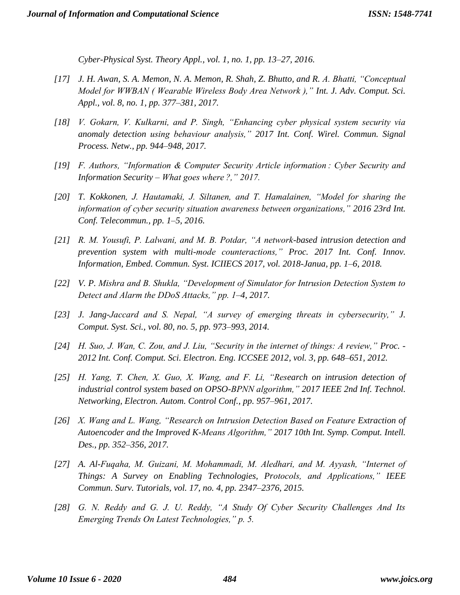*Cyber-Physical Syst. Theory Appl., vol. 1, no. 1, pp. 13–27, 2016.*

- *[17] J. H. Awan, S. A. Memon, N. A. Memon, R. Shah, Z. Bhutto, and R. A. Bhatti, "Conceptual Model for WWBAN ( Wearable Wireless Body Area Network )," Int. J. Adv. Comput. Sci. Appl., vol. 8, no. 1, pp. 377–381, 2017.*
- *[18] V. Gokarn, V. Kulkarni, and P. Singh, "Enhancing cyber physical system security via anomaly detection using behaviour analysis," 2017 Int. Conf. Wirel. Commun. Signal Process. Netw., pp. 944–948, 2017.*
- *[19] F. Authors, "Information & Computer Security Article information : Cyber Security and Information Security – What goes where ?," 2017.*
- *[20] T. Kokkonen, J. Hautamaki, J. Siltanen, and T. Hamalainen, "Model for sharing the information of cyber security situation awareness between organizations," 2016 23rd Int. Conf. Telecommun., pp. 1–5, 2016.*
- *[21] R. M. Yousufi, P. Lalwani, and M. B. Potdar, "A network-based intrusion detection and prevention system with multi-mode counteractions," Proc. 2017 Int. Conf. Innov. Information, Embed. Commun. Syst. ICIIECS 2017, vol. 2018-Janua, pp. 1–6, 2018.*
- *[22] V. P. Mishra and B. Shukla, "Development of Simulator for Intrusion Detection System to Detect and Alarm the DDoS Attacks," pp. 1–4, 2017.*
- *[23] J. Jang-Jaccard and S. Nepal, "A survey of emerging threats in cybersecurity," J. Comput. Syst. Sci., vol. 80, no. 5, pp. 973–993, 2014.*
- *[24] H. Suo, J. Wan, C. Zou, and J. Liu, "Security in the internet of things: A review," Proc. - 2012 Int. Conf. Comput. Sci. Electron. Eng. ICCSEE 2012, vol. 3, pp. 648–651, 2012.*
- *[25] H. Yang, T. Chen, X. Guo, X. Wang, and F. Li, "Research on intrusion detection of industrial control system based on OPSO-BPNN algorithm," 2017 IEEE 2nd Inf. Technol. Networking, Electron. Autom. Control Conf., pp. 957–961, 2017.*
- *[26] X. Wang and L. Wang, "Research on Intrusion Detection Based on Feature Extraction of Autoencoder and the Improved K-Means Algorithm," 2017 10th Int. Symp. Comput. Intell. Des., pp. 352–356, 2017.*
- *[27] A. Al-Fuqaha, M. Guizani, M. Mohammadi, M. Aledhari, and M. Ayyash, "Internet of Things: A Survey on Enabling Technologies, Protocols, and Applications," IEEE Commun. Surv. Tutorials, vol. 17, no. 4, pp. 2347–2376, 2015.*
- *[28] G. N. Reddy and G. J. U. Reddy, "A Study Of Cyber Security Challenges And Its Emerging Trends On Latest Technologies," p. 5.*